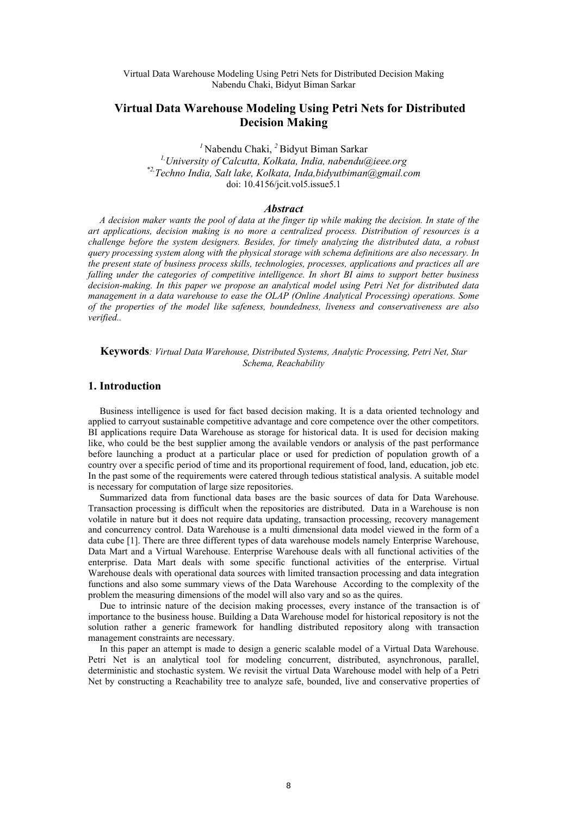# **Virtual Data Warehouse Modeling Using Petri Nets for Distributed Decision Making**

*<sup>1</sup>*Nabendu Chaki, *<sup>2</sup>*Bidyut Biman Sarkar

*1,University of Calcutta, Kolkata, India, nabendu@ieee.org \*2,Techno India, Salt lake, Kolkata, Inda,bidyutbiman@gmail.com*  doi: 10.4156/jcit.vol5.issue5.1

#### *Abstract*

*A decision maker wants the pool of data at the finger tip while making the decision. In state of the art applications, decision making is no more a centralized process. Distribution of resources is a challenge before the system designers. Besides, for timely analyzing the distributed data, a robust query processing system along with the physical storage with schema definitions are also necessary. In the present state of business process skills, technologies, processes, applications and practices all are falling under the categories of competitive intelligence. In short BI aims to support better business decision-making. In this paper we propose an analytical model using Petri Net for distributed data management in a data warehouse to ease the OLAP (Online Analytical Processing) operations. Some of the properties of the model like safeness, boundedness, liveness and conservativeness are also verified..* 

**Keywords***: Virtual Data Warehouse, Distributed Systems, Analytic Processing, Petri Net, Star Schema, Reachability* 

## **1. Introduction**

Business intelligence is used for fact based decision making. It is a data oriented technology and applied to carryout sustainable competitive advantage and core competence over the other competitors. BI applications require Data Warehouse as storage for historical data. It is used for decision making like, who could be the best supplier among the available vendors or analysis of the past performance before launching a product at a particular place or used for prediction of population growth of a country over a specific period of time and its proportional requirement of food, land, education, job etc. In the past some of the requirements were catered through tedious statistical analysis. A suitable model is necessary for computation of large size repositories.

Summarized data from functional data bases are the basic sources of data for Data Warehouse. Transaction processing is difficult when the repositories are distributed. Data in a Warehouse is non volatile in nature but it does not require data updating, transaction processing, recovery management and concurrency control. Data Warehouse is a multi dimensional data model viewed in the form of a data cube [1]. There are three different types of data warehouse models namely Enterprise Warehouse, Data Mart and a Virtual Warehouse. Enterprise Warehouse deals with all functional activities of the enterprise. Data Mart deals with some specific functional activities of the enterprise. Virtual Warehouse deals with operational data sources with limited transaction processing and data integration functions and also some summary views of the Data Warehouse According to the complexity of the problem the measuring dimensions of the model will also vary and so as the quires.

Due to intrinsic nature of the decision making processes, every instance of the transaction is of importance to the business house. Building a Data Warehouse model for historical repository is not the solution rather a generic framework for handling distributed repository along with transaction management constraints are necessary.

In this paper an attempt is made to design a generic scalable model of a Virtual Data Warehouse. Petri Net is an analytical tool for modeling concurrent, distributed, asynchronous, parallel, deterministic and stochastic system. We revisit the virtual Data Warehouse model with help of a Petri Net by constructing a Reachability tree to analyze safe, bounded, live and conservative properties of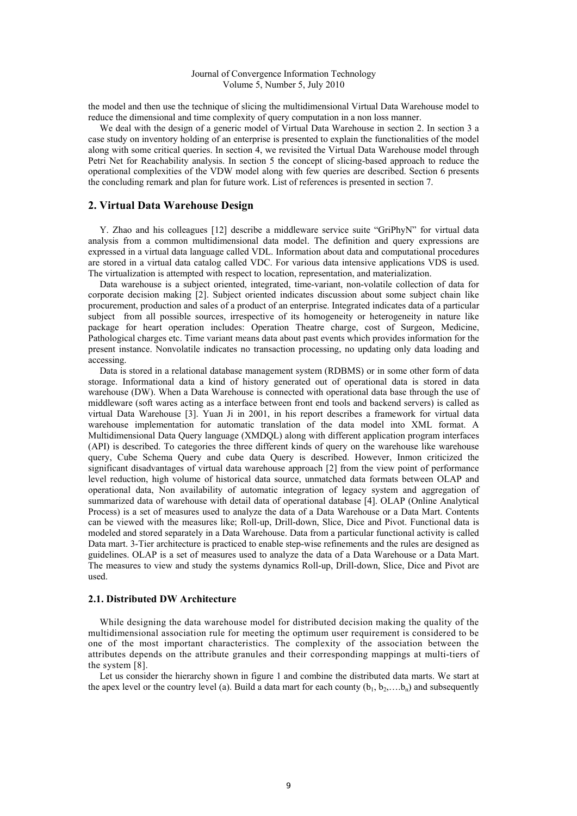the model and then use the technique of slicing the multidimensional Virtual Data Warehouse model to reduce the dimensional and time complexity of query computation in a non loss manner.

We deal with the design of a generic model of Virtual Data Warehouse in section 2. In section 3 a case study on inventory holding of an enterprise is presented to explain the functionalities of the model along with some critical queries. In section 4, we revisited the Virtual Data Warehouse model through Petri Net for Reachability analysis. In section 5 the concept of slicing-based approach to reduce the operational complexities of the VDW model along with few queries are described. Section 6 presents the concluding remark and plan for future work. List of references is presented in section 7.

## **2. Virtual Data Warehouse Design**

Y. Zhao and his colleagues [12] describe a middleware service suite "GriPhyN" for virtual data analysis from a common multidimensional data model. The definition and query expressions are expressed in a virtual data language called VDL. Information about data and computational procedures are stored in a virtual data catalog called VDC. For various data intensive applications VDS is used. The virtualization is attempted with respect to location, representation, and materialization.

Data warehouse is a subject oriented, integrated, time-variant, non-volatile collection of data for corporate decision making [2]. Subject oriented indicates discussion about some subject chain like procurement, production and sales of a product of an enterprise. Integrated indicates data of a particular subject from all possible sources, irrespective of its homogeneity or heterogeneity in nature like package for heart operation includes: Operation Theatre charge, cost of Surgeon, Medicine, Pathological charges etc. Time variant means data about past events which provides information for the present instance. Nonvolatile indicates no transaction processing, no updating only data loading and accessing.

Data is stored in a relational database management system (RDBMS) or in some other form of data storage. Informational data a kind of history generated out of operational data is stored in data warehouse (DW). When a Data Warehouse is connected with operational data base through the use of middleware (soft wares acting as a interface between front end tools and backend servers) is called as virtual Data Warehouse [3]. Yuan Ji in 2001, in his report describes a framework for virtual data warehouse implementation for automatic translation of the data model into XML format. A Multidimensional Data Query language (XMDQL) along with different application program interfaces (API) is described. To categories the three different kinds of query on the warehouse like warehouse query, Cube Schema Query and cube data Query is described. However, Inmon criticized the significant disadvantages of virtual data warehouse approach [2] from the view point of performance level reduction, high volume of historical data source, unmatched data formats between OLAP and operational data, Non availability of automatic integration of legacy system and aggregation of summarized data of warehouse with detail data of operational database [4]. OLAP (Online Analytical Process) is a set of measures used to analyze the data of a Data Warehouse or a Data Mart. Contents can be viewed with the measures like; Roll-up, Drill-down, Slice, Dice and Pivot. Functional data is modeled and stored separately in a Data Warehouse. Data from a particular functional activity is called Data mart. 3-Tier architecture is practiced to enable step-wise refinements and the rules are designed as guidelines. OLAP is a set of measures used to analyze the data of a Data Warehouse or a Data Mart. The measures to view and study the systems dynamics Roll-up, Drill-down, Slice, Dice and Pivot are used.

## **2.1. Distributed DW Architecture**

While designing the data warehouse model for distributed decision making the quality of the multidimensional association rule for meeting the optimum user requirement is considered to be one of the most important characteristics. The complexity of the association between the attributes depends on the attribute granules and their corresponding mappings at multi-tiers of the system [8].

Let us consider the hierarchy shown in figure 1 and combine the distributed data marts. We start at the apex level or the country level (a). Build a data mart for each county  $(b_1, b_2,...b_n)$  and subsequently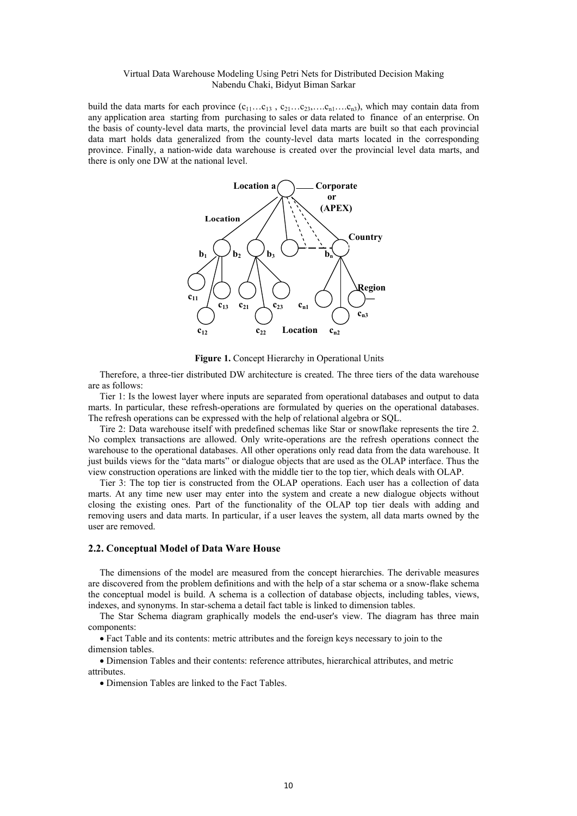build the data marts for each province  $(c_{11} \ldots c_{13}, c_{21} \ldots c_{23}, \ldots c_{n1} \ldots c_{n3})$ , which may contain data from any application area starting from purchasing to sales or data related to finance of an enterprise. On the basis of county-level data marts, the provincial level data marts are built so that each provincial data mart holds data generalized from the county-level data marts located in the corresponding province. Finally, a nation-wide data warehouse is created over the provincial level data marts, and there is only one DW at the national level.



Figure 1. Concept Hierarchy in Operational Units

Therefore, a three-tier distributed DW architecture is created. The three tiers of the data warehouse are as follows:

Tier 1: Is the lowest layer where inputs are separated from operational databases and output to data marts. In particular, these refresh-operations are formulated by queries on the operational databases. The refresh operations can be expressed with the help of relational algebra or SQL.

Tire 2: Data warehouse itself with predefined schemas like Star or snowflake represents the tire 2. No complex transactions are allowed. Only write-operations are the refresh operations connect the warehouse to the operational databases. All other operations only read data from the data warehouse. It just builds views for the "data marts" or dialogue objects that are used as the OLAP interface. Thus the view construction operations are linked with the middle tier to the top tier, which deals with OLAP.

Tier 3: The top tier is constructed from the OLAP operations. Each user has a collection of data marts. At any time new user may enter into the system and create a new dialogue objects without closing the existing ones. Part of the functionality of the OLAP top tier deals with adding and removing users and data marts. In particular, if a user leaves the system, all data marts owned by the user are removed.

#### **2.2. Conceptual Model of Data Ware House**

The dimensions of the model are measured from the concept hierarchies. The derivable measures are discovered from the problem definitions and with the help of a star schema or a snow-flake schema the conceptual model is build. A schema is a collection of database objects, including tables, views, indexes, and synonyms. In star-schema a detail fact table is linked to dimension tables.

The Star Schema diagram graphically models the end-user's view. The diagram has three main components:

 Fact Table and its contents: metric attributes and the foreign keys necessary to join to the dimension tables.

 Dimension Tables and their contents: reference attributes, hierarchical attributes, and metric attributes.

• Dimension Tables are linked to the Fact Tables.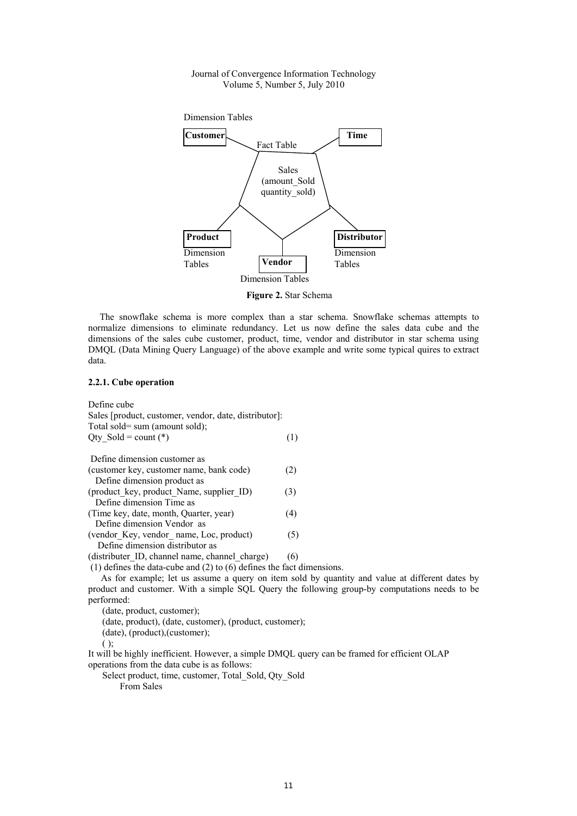

**Figure 2.** Star Schema

The snowflake schema is more complex than a star schema. Snowflake schemas attempts to normalize dimensions to eliminate redundancy. Let us now define the sales data cube and the dimensions of the sales cube customer, product, time, vendor and distributor in star schema using DMQL (Data Mining Query Language) of the above example and write some typical quires to extract data.

### **2.2.1. Cube operation**

| Define cube                                           |     |
|-------------------------------------------------------|-----|
| Sales [product, customer, vendor, date, distributor]: |     |
| Total sold= sum (amount sold);                        |     |
| Qty Sold = count $(*)$                                | (1) |
|                                                       |     |
| Define dimension customer as                          |     |
| (customer key, customer name, bank code)              | (2) |
| Define dimension product as                           |     |
| (product_key, product_Name, supplier ID)              | (3) |
| Define dimension Time as                              |     |
| (Time key, date, month, Quarter, year)                | (4) |
| Define dimension Vendor as                            |     |
| (vendor Key, vendor name, Loc, product)               | (5) |
| Define dimension distributor as                       |     |
| (distributer ID, channel name, channel charge)        | (6) |

(1) defines the data-cube and (2) to  $(6)$  defines the fact dimensions.

As for example; let us assume a query on item sold by quantity and value at different dates by product and customer. With a simple SQL Query the following group-by computations needs to be performed:

(date, product, customer);

(date, product), (date, customer), (product, customer);

(date), (product),(customer);

It will be highly inefficient. However, a simple DMQL query can be framed for efficient OLAP operations from the data cube is as follows:

Select product, time, customer, Total\_Sold, Qty\_Sold

From Sales

 $()$ ;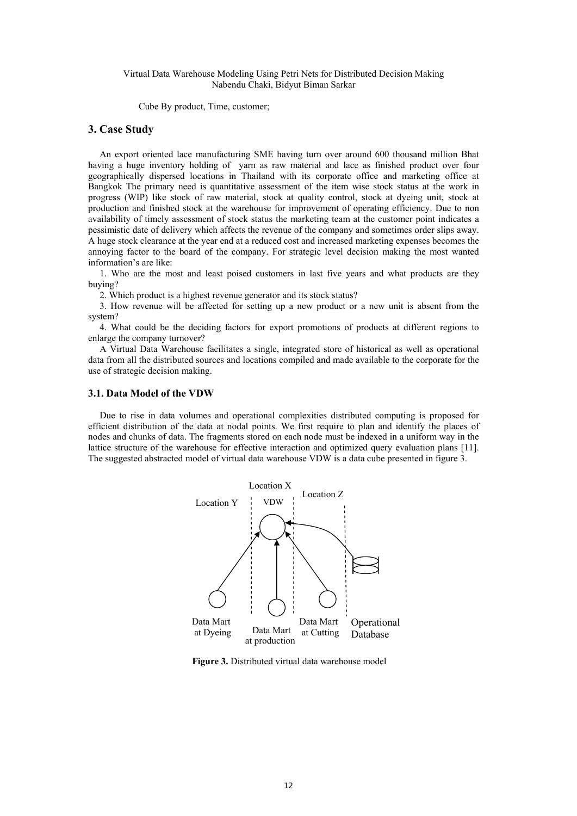Cube By product, Time, customer;

## **3. Case Study**

An export oriented lace manufacturing SME having turn over around 600 thousand million Bhat having a huge inventory holding of yarn as raw material and lace as finished product over four geographically dispersed locations in Thailand with its corporate office and marketing office at Bangkok The primary need is quantitative assessment of the item wise stock status at the work in progress (WIP) like stock of raw material, stock at quality control, stock at dyeing unit, stock at production and finished stock at the warehouse for improvement of operating efficiency. Due to non availability of timely assessment of stock status the marketing team at the customer point indicates a pessimistic date of delivery which affects the revenue of the company and sometimes order slips away. A huge stock clearance at the year end at a reduced cost and increased marketing expenses becomes the annoying factor to the board of the company. For strategic level decision making the most wanted information's are like:

1. Who are the most and least poised customers in last five years and what products are they buying?

2. Which product is a highest revenue generator and its stock status?

3. How revenue will be affected for setting up a new product or a new unit is absent from the system?

4. What could be the deciding factors for export promotions of products at different regions to enlarge the company turnover?

A Virtual Data Warehouse facilitates a single, integrated store of historical as well as operational data from all the distributed sources and locations compiled and made available to the corporate for the use of strategic decision making.

## **3.1. Data Model of the VDW**

Due to rise in data volumes and operational complexities distributed computing is proposed for efficient distribution of the data at nodal points. We first require to plan and identify the places of nodes and chunks of data. The fragments stored on each node must be indexed in a uniform way in the lattice structure of the warehouse for effective interaction and optimized query evaluation plans [11]. The suggested abstracted model of virtual data warehouse VDW is a data cube presented in figure 3.



**Figure 3.** Distributed virtual data warehouse model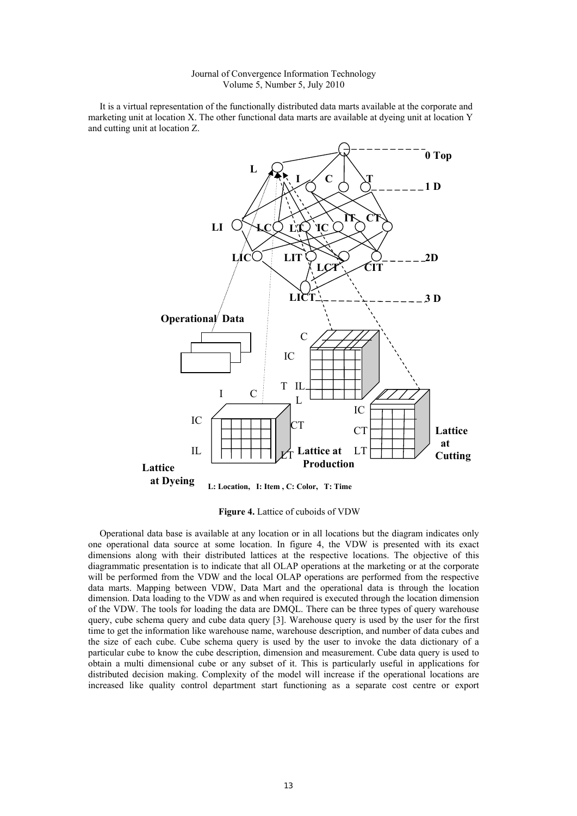It is a virtual representation of the functionally distributed data marts available at the corporate and marketing unit at location X. The other functional data marts are available at dyeing unit at location Y and cutting unit at location Z.



**Figure 4.** Lattice of cuboids of VDW

Operational data base is available at any location or in all locations but the diagram indicates only one operational data source at some location. In figure 4, the VDW is presented with its exact dimensions along with their distributed lattices at the respective locations. The objective of this diagrammatic presentation is to indicate that all OLAP operations at the marketing or at the corporate will be performed from the VDW and the local OLAP operations are performed from the respective data marts. Mapping between VDW, Data Mart and the operational data is through the location dimension. Data loading to the VDW as and when required is executed through the location dimension of the VDW. The tools for loading the data are DMQL. There can be three types of query warehouse query, cube schema query and cube data query [3]. Warehouse query is used by the user for the first time to get the information like warehouse name, warehouse description, and number of data cubes and the size of each cube. Cube schema query is used by the user to invoke the data dictionary of a particular cube to know the cube description, dimension and measurement. Cube data query is used to obtain a multi dimensional cube or any subset of it. This is particularly useful in applications for distributed decision making. Complexity of the model will increase if the operational locations are increased like quality control department start functioning as a separate cost centre or export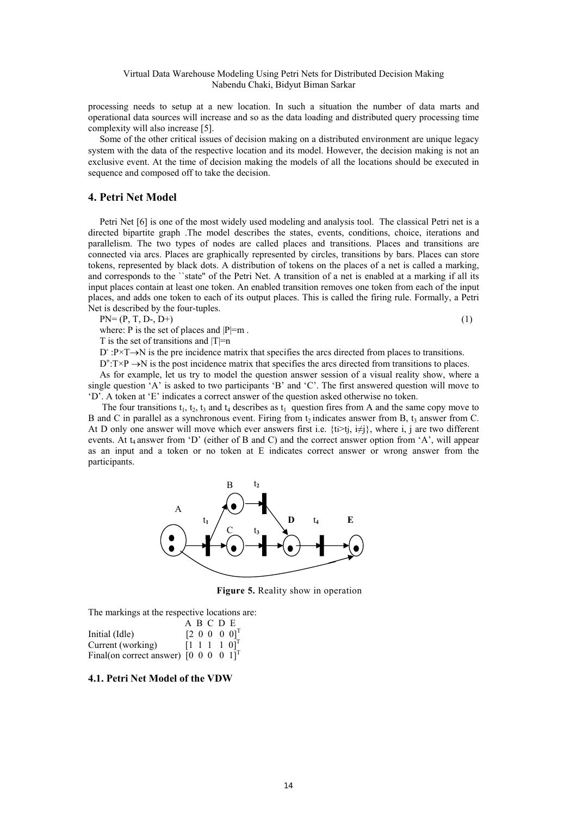processing needs to setup at a new location. In such a situation the number of data marts and operational data sources will increase and so as the data loading and distributed query processing time complexity will also increase [5].

Some of the other critical issues of decision making on a distributed environment are unique legacy system with the data of the respective location and its model. However, the decision making is not an exclusive event. At the time of decision making the models of all the locations should be executed in sequence and composed off to take the decision.

# **4. Petri Net Model**

Petri Net [6] is one of the most widely used modeling and analysis tool. The classical Petri net is a directed bipartite graph .The model describes the states, events, conditions, choice, iterations and parallelism. The two types of nodes are called places and transitions. Places and transitions are connected via arcs. Places are graphically represented by circles, transitions by bars. Places can store tokens, represented by black dots. A distribution of tokens on the places of a net is called a marking, and corresponds to the ``state'' of the Petri Net. A transition of a net is enabled at a marking if all its input places contain at least one token. An enabled transition removes one token from each of the input places, and adds one token to each of its output places. This is called the firing rule. Formally, a Petri Net is described by the four-tuples.

 $PN = (P, T, D-, D+)$  (1)

where: P is the set of places and  $|P|=m$ .

T is the set of transitions and  $|T|=n$ 

D<sup>-</sup>:P×T→N is the pre incidence matrix that specifies the arcs directed from places to transitions.

 $D^+$ : $T \times P \rightarrow N$  is the post incidence matrix that specifies the arcs directed from transitions to places.

As for example, let us try to model the question answer session of a visual reality show, where a single question 'A' is asked to two participants 'B' and 'C'. The first answered question will move to 'D'. A token at 'E' indicates a correct answer of the question asked otherwise no token.

The four transitions  $t_1$ ,  $t_2$ ,  $t_3$  and  $t_4$  describes as  $t_1$  question fires from A and the same copy move to B and C in parallel as a synchronous event. Firing from  $t_2$  indicates answer from B,  $t_3$  answer from C. At D only one answer will move which ever answers first i.e.  $\{t_i > t_j, i \neq j\}$ , where i, j are two different events. At t<sub>4</sub> answer from 'D' (either of B and C) and the correct answer option from 'A', will appear as an input and a token or no token at E indicates correct answer or wrong answer from the participants.



**Figure 5.** Reality show in operation

The markings at the respective locations are:

|                                                                              | ABCDE |                                    |
|------------------------------------------------------------------------------|-------|------------------------------------|
| Initial (Idle)                                                               |       | $[2\;0\;0\;0\;0]$ <sup>T</sup>     |
| Current (working)                                                            |       | $[1 \ 1 \ 1 \ 1 \ 0]$ <sup>1</sup> |
| Final(on correct answer) $\begin{bmatrix} 0 & 0 & 0 & 0 & 1 \end{bmatrix}^T$ |       |                                    |

### **4.1. Petri Net Model of the VDW**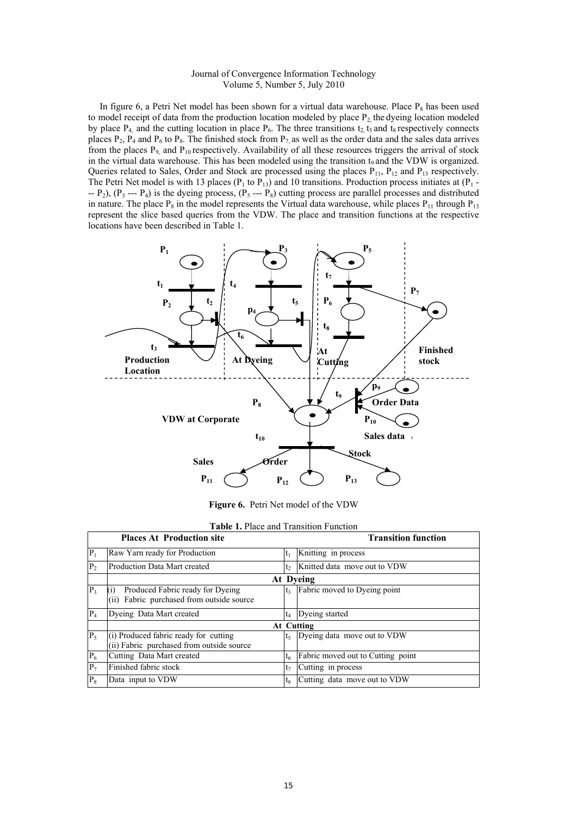In figure 6, a Petri Net model has been shown for a virtual data warehouse. Place  $P_8$  has been used to model receipt of data from the production location modeled by place  $P_2$ , the dyeing location modeled by place  $P_4$ , and the cutting location in place  $P_6$ . The three transitions  $t_2$ ,  $t_5$  and  $t_8$  respectively connects places P<sub>2</sub>, P<sub>4</sub> and P<sub>6</sub> to P<sub>8</sub>. The finished stock from P<sub>7</sub> as well as the order data and the sales data arrives from the places  $P_9$  and  $P_{10}$  respectively. Availability of all these resources triggers the arrival of stock in the virtual data warehouse. This has been modeled using the transition  $t<sub>9</sub>$  and the VDW is organized. Queries related to Sales, Order and Stock are processed using the places  $P_{11}$ ,  $P_{12}$  and  $P_{13}$  respectively. The Petri Net model is with 13 places ( $P_1$  to  $P_{13}$ ) and 10 transitions. Production process initiates at ( $P_1$  - $- P_2$ ),  $(P_3 - P_4)$  is the dyeing process,  $(P_5 - P_8)$  cutting process are parallel processes and distributed in nature. The place  $P_8$  in the model represents the Virtual data warehouse, while places  $P_{11}$  through  $P_{13}$ represent the slice based queries from the VDW. The place and transition functions at the respective locations have been described in Table 1.



**Figure 6.** Petri Net model of the VDW

|                             | <b>Table 1.</b> Place and Transition Function                                                      |                |                                   |
|-----------------------------|----------------------------------------------------------------------------------------------------|----------------|-----------------------------------|
|                             | <b>Places At Production site</b>                                                                   |                | <b>Transition function</b>        |
| $P_1$                       | Raw Yarn ready for Production                                                                      | $t_1$          | Knitting in process               |
| P <sub>2</sub>              | Production Data Mart created                                                                       | t <sub>2</sub> | Knitted data move out to VDW      |
|                             |                                                                                                    |                | At Dyeing                         |
| $P_3$                       | Produced Fabric ready for Dyeing<br>$\left( i\right)$<br>(ii) Fabric purchased from outside source | t <sub>3</sub> | Fabric moved to Dyeing point      |
| $P_4$                       | Dyeing Data Mart created                                                                           | $t_4$          | Dyeing started                    |
|                             |                                                                                                    |                | At Cutting                        |
| $P_5$                       | (i) Produced fabric ready for cutting<br>(ii) Fabric purchased from outside source                 | Itء            | Dyeing data move out to VDW       |
| $\overline{{\mathbf{P}}_6}$ | Cutting Data Mart created                                                                          | t <sub>6</sub> | Fabric moved out to Cutting point |
| $P_7$                       | Finished fabric stock                                                                              | t <sub>7</sub> | Cutting in process                |
| $P_8$                       | Data input to VDW                                                                                  | $t_8$          | Cutting data move out to VDW      |

| <b>Table 1.</b> Place and Transition Function |  |
|-----------------------------------------------|--|
|-----------------------------------------------|--|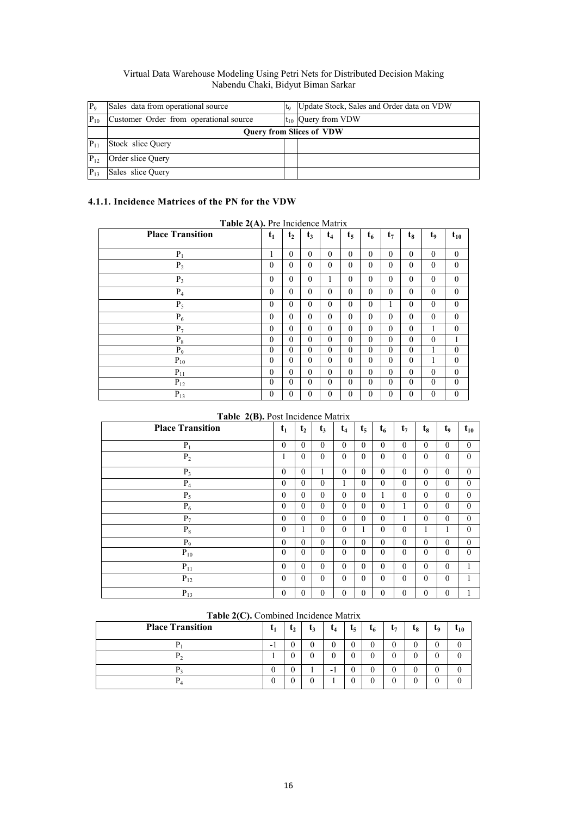| P <sub>q</sub> | Sales data from operational source     | to                              | Update Stock, Sales and Order data on VDW |
|----------------|----------------------------------------|---------------------------------|-------------------------------------------|
| $P_{10}$       | Customer Order from operational source |                                 | $t_{10}$ Query from VDW                   |
|                |                                        | <b>Query from Slices of VDW</b> |                                           |
| $P_{11}$       | Stock slice Query                      |                                 |                                           |
| $ P_{12} $     | Order slice Query                      |                                 |                                           |
| $ P_{13} $     | Sales slice Ouery                      |                                 |                                           |

# **4.1.1. Incidence Matrices of the PN for the VDW**

| <b>Place Transition</b> | $t_1$        | t <sub>2</sub> | $t_3$    | t <sub>4</sub> | t,           | $t_{6}$  | $t_{7}$  | tg       | t,           | $t_{10}$     |
|-------------------------|--------------|----------------|----------|----------------|--------------|----------|----------|----------|--------------|--------------|
| $P_1$                   | I.           | $\Omega$       | $\theta$ | $\theta$       | $\theta$     | $\theta$ | $\theta$ | $\theta$ | $\theta$     | $\mathbf{0}$ |
| P <sub>2</sub>          | $\theta$     | $\Omega$       | $\theta$ | $\theta$       | $\theta$     | $\Omega$ | $\theta$ | $\Omega$ | $\theta$     | $\mathbf{0}$ |
| $P_3$                   | $\theta$     | $\theta$       | $\theta$ | л.             | $\theta$     | $\theta$ | $\theta$ | $\theta$ | $\theta$     | $\mathbf{0}$ |
| $P_4$                   | $\Omega$     | $\Omega$       | $\theta$ | $\theta$       | $\theta$     | $\theta$ | $\theta$ | $\Omega$ | $\theta$     | $\mathbf{0}$ |
| $P_5$                   | $\theta$     | $\theta$       | $\theta$ | $\theta$       | $\theta$     | $\theta$ |          | $\Omega$ | $\theta$     | $\theta$     |
| $P_6$                   | $\theta$     | $\theta$       | $\theta$ | $\theta$       | $\theta$     | $\theta$ | $\theta$ | $\theta$ | $\theta$     | $\theta$     |
| $P_7$                   | $\Omega$     | $\theta$       | $\theta$ | $\theta$       | $\theta$     | $\theta$ | $\theta$ | $\theta$ | 1            | $\mathbf{0}$ |
| $P_8$                   | $\theta$     | $\theta$       | $\theta$ | $\theta$       | $\theta$     | $\theta$ | $\theta$ | $\Omega$ | $\mathbf{0}$ | 1            |
| $P_9$                   | $\theta$     | $\theta$       | $\theta$ | $\theta$       | $\theta$     | $\theta$ | $\theta$ | $\theta$ | 1            | $\mathbf{0}$ |
| $\mathbf{P}_{10}$       | $\theta$     | $\Omega$       | $\theta$ | $\theta$       | $\theta$     | $\theta$ | $\theta$ | $\Omega$ | 1            | $\theta$     |
| $P_{11}$                | $\theta$     | $\theta$       | $\theta$ | $\theta$       | $\theta$     | $\theta$ | $\theta$ | $\theta$ | $\theta$     | $\mathbf{0}$ |
| $P_{12}$                | $\theta$     | $\Omega$       | $\theta$ | $\theta$       | $\theta$     | $\theta$ | $\theta$ | $\Omega$ | $\theta$     | $\mathbf{0}$ |
| $P_{13}$                | $\mathbf{0}$ | $\Omega$       | $\theta$ | $\theta$       | $\mathbf{0}$ | $\Omega$ | $\theta$ | $\Omega$ | $\theta$     | $\mathbf{0}$ |

**Table 2(A).** Pre Incidence Matrix

## **Table 2(B).** Post Incidence Matrix

| $\overline{\phantom{a}}$<br><b>Place Transition</b> | $t_1$        | t <sub>2</sub> | $t_3$        | $t_4$        | $t_{5}$      | $t_{6}$      | $t_7$            | t <sub>8</sub> | t <sub>9</sub>   | $t_{10}$         |
|-----------------------------------------------------|--------------|----------------|--------------|--------------|--------------|--------------|------------------|----------------|------------------|------------------|
| $P_1$                                               | $\mathbf{0}$ | $\theta$       | $\theta$     | $\theta$     | $\theta$     | $\mathbf{0}$ | $\boldsymbol{0}$ | $\mathbf{0}$   | $\boldsymbol{0}$ | $\mathbf{0}$     |
| $P_2$                                               | 1            | $\theta$       | $\mathbf{0}$ | $\mathbf{0}$ | $\mathbf{0}$ | $\theta$     | $\mathbf{0}$     | $\mathbf{0}$   | $\boldsymbol{0}$ | $\mathbf{0}$     |
| $P_3$                                               | $\mathbf{0}$ | $\theta$       | 1            | $\theta$     | $\theta$     | $\mathbf{0}$ | $\mathbf{0}$     | $\mathbf{0}$   | $\mathbf{0}$     | $\mathbf{0}$     |
| $P_4$                                               | $\mathbf{0}$ | $\theta$       | $\theta$     | 1            | $\theta$     | $\theta$     | $\mathbf{0}$     | $\mathbf{0}$   | $\mathbf{0}$     | $\mathbf{0}$     |
| $P_5$                                               | $\mathbf{0}$ | $\mathbf{0}$   | $\mathbf{0}$ | $\mathbf{0}$ | $\mathbf{0}$ | 1            | $\boldsymbol{0}$ | $\mathbf{0}$   | $\boldsymbol{0}$ | $\boldsymbol{0}$ |
| $P_6$                                               | $\theta$     | $\theta$       | $\theta$     | $\theta$     | $\theta$     | $\mathbf{0}$ | 1                | $\mathbf{0}$   | $\boldsymbol{0}$ | $\mathbf{0}$     |
| $P_7$                                               | $\mathbf{0}$ | $\mathbf{0}$   | $\mathbf{0}$ | $\theta$     | $\mathbf{0}$ | $\mathbf{0}$ | 1                | $\mathbf{0}$   | $\boldsymbol{0}$ | $\mathbf{0}$     |
| $P_8$                                               | $\mathbf{0}$ | 1              | $\mathbf{0}$ | $\mathbf{0}$ | 1            | $\mathbf{0}$ | $\mathbf{0}$     | 1              | 1                | $\mathbf{0}$     |
| $P_9$                                               | $\mathbf{0}$ | $\mathbf{0}$   | $\mathbf{0}$ | $\mathbf{0}$ | $\mathbf{0}$ | $\mathbf{0}$ | $\mathbf{0}$     | $\mathbf{0}$   | $\boldsymbol{0}$ | $\boldsymbol{0}$ |
| $P_{10}$                                            | $\theta$     | $\theta$       | $\theta$     | $\theta$     | $\Omega$     | $\theta$     | $\mathbf{0}$     | $\mathbf{0}$   | $\mathbf{0}$     | $\theta$         |
| $P_{11}$                                            | $\mathbf{0}$ | $\theta$       | $\mathbf{0}$ | $\mathbf{0}$ | $\mathbf{0}$ | $\mathbf{0}$ | $\mathbf{0}$     | $\mathbf{0}$   | $\mathbf{0}$     | 1                |
| $P_{12}$                                            | $\theta$     | $\theta$       | $\theta$     | $\theta$     | $\theta$     | $\theta$     | $\mathbf{0}$     | $\mathbf{0}$   | $\overline{0}$   | 1                |
| $P_{13}$                                            | $\mathbf{0}$ | $\theta$       | $\mathbf{0}$ | $\mathbf{0}$ | $\mathbf{0}$ | $\mathbf{0}$ | $\mathbf{0}$     | $\mathbf{0}$   | $\mathbf{0}$     | 1                |

| <b>Place Transition</b> | $\mathbf{u}_1$ | $t_2$ | $L_3$ | t <sub>4</sub> | $t_5$ | $t_6$            | $t_7$ | t <sub>8</sub> | Ţ9 | $t_{10}$ |
|-------------------------|----------------|-------|-------|----------------|-------|------------------|-------|----------------|----|----------|
|                         | ۰              |       |       |                |       | $\boldsymbol{0}$ |       |                |    |          |
|                         |                |       |       |                |       | $\theta$         |       |                |    |          |
|                         |                |       |       | -              |       | $\boldsymbol{0}$ |       |                |    |          |
|                         |                |       |       |                |       | $\boldsymbol{0}$ |       |                |    |          |

## **Table 2(C).** Combined Incidence Matrix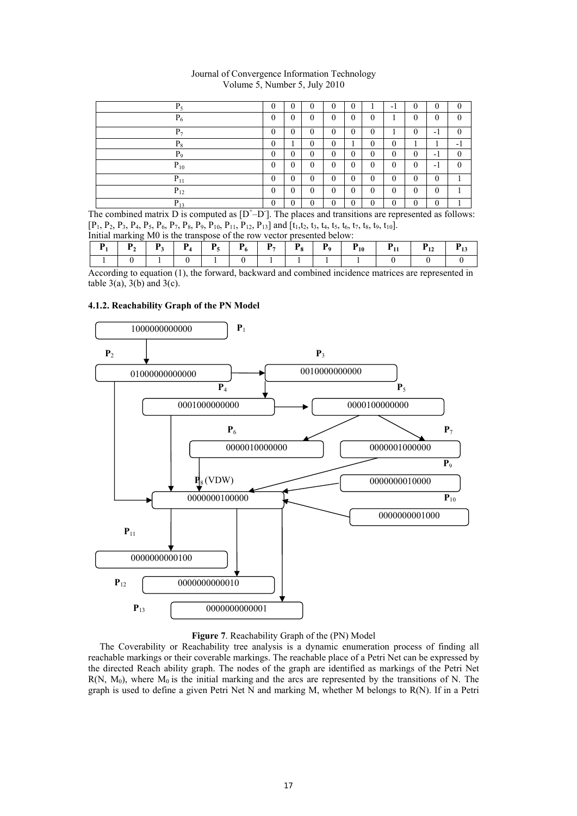| $P_5$      | $\Omega$ | $\theta$       |          | $\theta$     | $\theta$ |          | - 1      | $\Omega$     | $\theta$     |     |
|------------|----------|----------------|----------|--------------|----------|----------|----------|--------------|--------------|-----|
| $P_6$      | $\Omega$ | $\theta$       | 0        | $\theta$     | $\theta$ |          |          | $\Omega$     | $\theta$     |     |
| $P_{\tau}$ | $\Omega$ | $\theta$       | 0        | $\theta$     | $\Omega$ | $\Omega$ |          | $\Omega$     | п<br>- 1     |     |
| $P_8$      | $\theta$ |                | 0        | 0            |          | 0        | 0        |              |              | - 1 |
| $P_9$      | $\Omega$ | $\overline{0}$ | $\theta$ | $\mathbf{0}$ | 0        | 0        | 0        | $\mathbf{0}$ | -1           | 0   |
| $P_{10}$   | $\Omega$ | $\mathbf{0}$   | $\theta$ | $\theta$     | $\theta$ | $\Omega$ | $\theta$ | $\theta$     | $-1$         | 0   |
| $P_{11}$   | $\Omega$ | $\theta$       | 0        | 0            | 0        | $\Omega$ | $\theta$ | $\Omega$     | $\theta$     |     |
| $P_{12}$   | $\Omega$ | $\theta$       | $\theta$ | $\Omega$     | 0        | $\Omega$ | $\theta$ | $\Omega$     | $\theta$     |     |
| $P_{13}$   | $\theta$ | 0              | 0        | 0            | 0        |          | 0        | $\theta$     | $\mathbf{0}$ |     |

Journal of Convergence Information Technology Volume 5, Number 5, July 2010

The combined matrix  $D$  is computed as  $[D<sup>+</sup>-D<sup>-</sup>]$ . The places and transitions are represented as follows:  $[P_1, P_2, P_3, P_4, P_5, P_6, P_7, P_8, P_9, P_{10}, P_{11}, P_{12}, P_{13}]$  and  $[t_1, t_2, t_3, t_4, t_5, t_6, t_7, t_8, t_9, t_{10}]$ .<br>Initial marking M0 is the transpose of the row vector presented below:  $\overline{I}$  initial marking  $\overline{M}$  is the transpose of the row vector

|  |  |  |  | ົດ |  | - |  |
|--|--|--|--|----|--|---|--|
|  |  |  |  |    |  |   |  |

According to equation (1), the forward, backward and combined incidence matrices are represented in table  $3(a)$ ,  $3(b)$  and  $3(c)$ .

## **4.1.2. Reachability Graph of the PN Model**



## **Figure 7**. Reachability Graph of the (PN) Model

The Coverability or Reachability tree analysis is a dynamic enumeration process of finding all reachable markings or their coverable markings. The reachable place of a Petri Net can be expressed by the directed Reach ability graph. The nodes of the graph are identified as markings of the Petri Net  $R(N, M_0)$ , where  $M_0$  is the initial marking and the arcs are represented by the transitions of N. The graph is used to define a given Petri Net  $\overline{N}$  and marking M, whether M belongs to R(N). If in a Petri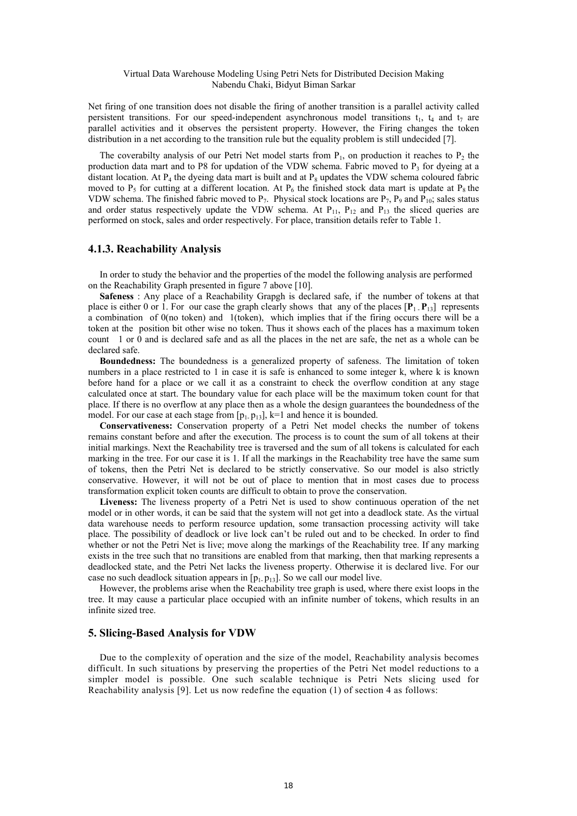Net firing of one transition does not disable the firing of another transition is a parallel activity called persistent transitions. For our speed-independent asynchronous model transitions  $t_1$ ,  $t_4$  and  $t_7$  are parallel activities and it observes the persistent property. However, the Firing changes the token distribution in a net according to the transition rule but the equality problem is still undecided [7].

The coverabilty analysis of our Petri Net model starts from  $P_1$ , on production it reaches to  $P_2$  the production data mart and to P8 for updation of the VDW schema. Fabric moved to  $P_3$  for dyeing at a distant location. At  $P_4$  the dyeing data mart is built and at  $P_8$  updates the VDW schema coloured fabric moved to  $P_5$  for cutting at a different location. At  $P_6$  the finished stock data mart is update at  $P_8$  the VDW schema. The finished fabric moved to  $P_7$ . Physical stock locations are  $P_7$ ,  $P_9$  and  $P_{10}$ ; sales status and order status respectively update the VDW schema. At  $P_{11}$ ,  $P_{12}$  and  $P_{13}$  the sliced queries are performed on stock, sales and order respectively. For place, transition details refer to Table 1.

## **4.1.3. Reachability Analysis**

 In order to study the behavior and the properties of the model the following analysis are performed on the Reachability Graph presented in figure 7 above [10].

**Safeness** : Any place of a Reachability Grapgh is declared safe, if the number of tokens at that place is either 0 or 1. For our case the graph clearly shows that any of the places  $[\mathbf{P}_1, \mathbf{P}_{13}]$  represents a combination of 0(no token) and 1(token), which implies that if the firing occurs there will be a token at the position bit other wise no token. Thus it shows each of the places has a maximum token count 1 or 0 and is declared safe and as all the places in the net are safe, the net as a whole can be declared safe.

**Boundedness:** The boundedness is a generalized property of safeness. The limitation of token numbers in a place restricted to 1 in case it is safe is enhanced to some integer k, where k is known before hand for a place or we call it as a constraint to check the overflow condition at any stage calculated once at start. The boundary value for each place will be the maximum token count for that place. If there is no overflow at any place then as a whole the design guarantees the boundedness of the model. For our case at each stage from  $[p_1, p_{13}]$ , k=1 and hence it is bounded.

**Conservativeness:** Conservation property of a Petri Net model checks the number of tokens remains constant before and after the execution. The process is to count the sum of all tokens at their initial markings. Next the Reachability tree is traversed and the sum of all tokens is calculated for each marking in the tree. For our case it is 1. If all the markings in the Reachability tree have the same sum of tokens, then the Petri Net is declared to be strictly conservative. So our model is also strictly conservative. However, it will not be out of place to mention that in most cases due to process transformation explicit token counts are difficult to obtain to prove the conservation.

**Liveness:** The liveness property of a Petri Net is used to show continuous operation of the net model or in other words, it can be said that the system will not get into a deadlock state. As the virtual data warehouse needs to perform resource updation, some transaction processing activity will take place. The possibility of deadlock or live lock can't be ruled out and to be checked. In order to find whether or not the Petri Net is live; move along the markings of the Reachability tree. If any marking exists in the tree such that no transitions are enabled from that marking, then that marking represents a deadlocked state, and the Petri Net lacks the liveness property. Otherwise it is declared live. For our case no such deadlock situation appears in  $[p_1, p_{13}]$ . So we call our model live.

However, the problems arise when the Reachability tree graph is used, where there exist loops in the tree. It may cause a particular place occupied with an infinite number of tokens, which results in an infinite sized tree.

### **5. Slicing-Based Analysis for VDW**

Due to the complexity of operation and the size of the model, Reachability analysis becomes difficult. In such situations by preserving the properties of the Petri Net model reductions to a simpler model is possible. One such scalable technique is Petri Nets slicing used for Reachability analysis [9]. Let us now redefine the equation (1) of section 4 as follows: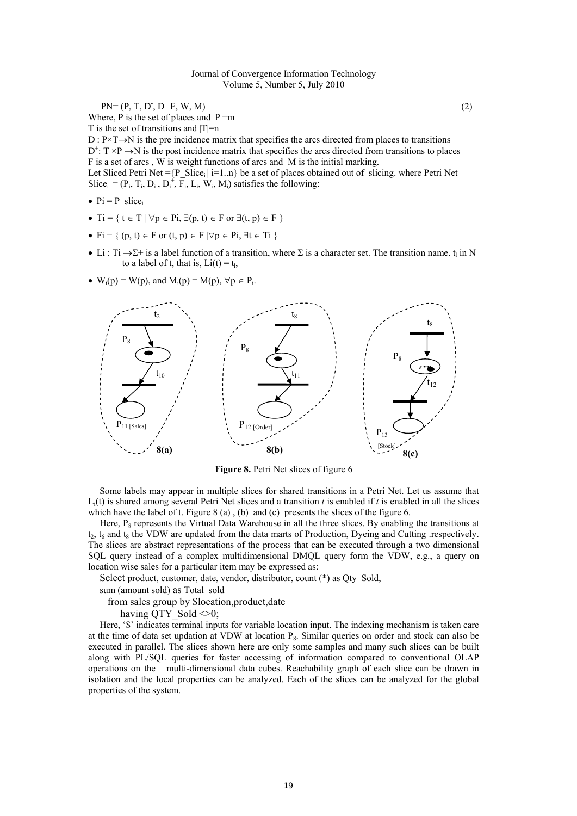$PN = (P, T, D, D^+ F, W, M)$  (2)

Where, P is the set of places and  $|P|=m$ 

T is the set of transitions and  $|T|=n$ 

 $D: P \times T \rightarrow N$  is the pre incidence matrix that specifies the arcs directed from places to transitions  $D^{\dagger}$ :  $T \times P \rightarrow N$  is the post incidence matrix that specifies the arcs directed from transitions to places F is a set of arcs , W is weight functions of arcs and M is the initial marking. Let Sliced Petri Net ={P\_Slice<sub>i</sub> | i=1..n} be a set of places obtained out of slicing. where Petri Net Slice<sub>i</sub> =  $(P_i, T_i, D_i, D_i^+, \overline{F}_i, L_i, W_i, M_i)$  satisfies the following:

- $\bullet$  Pi = P slice
- Ti =  $\{ t \in T \mid \forall p \in Pi, \exists (p, t) \in F \text{ or } \exists (t, p) \in F \}$
- Fi = {  $(p, t) \in F$  or  $(t, p) \in F$  | $\forall p \in \text{Pi}, \exists t \in \text{Ti}$  }
- Li : Ti  $\rightarrow \Sigma^+$  is a label function of a transition, where  $\Sigma$  is a character set. The transition name. t<sub>i</sub> in N to a label of t, that is,  $Li(t) = t_1$ ,
- $\bullet$  W<sub>i</sub>(p) = W(p), and M<sub>i</sub>(p) = M(p),  $\forall p \in P_i$ .



**Figure 8.** Petri Net slices of figure 6

Some labels may appear in multiple slices for shared transitions in a Petri Net. Let us assume that  $L_i(t)$  is shared among several Petri Net slices and a transition *t* is enabled if *t* is enabled in all the slices which have the label of t. Figure 8 (a), (b) and (c) presents the slices of the figure 6.

Here,  $P_8$  represents the Virtual Data Warehouse in all the three slices. By enabling the transitions at  $t_2$ ,  $t_6$  and  $t_8$  the VDW are updated from the data marts of Production, Dyeing and Cutting respectively. The slices are abstract representations of the process that can be executed through a two dimensional SQL query instead of a complex multidimensional DMQL query form the VDW, e.g., a query on location wise sales for a particular item may be expressed as:

Select product, customer, date, vendor, distributor, count (\*) as Qty\_Sold,

sum (amount sold) as Total\_sold

from sales group by \$location,product,date

having OTY Sold  $\leq 0$ :

Here, '\$' indicates terminal inputs for variable location input. The indexing mechanism is taken care at the time of data set updation at VDW at location  $P_8$ . Similar queries on order and stock can also be executed in parallel. The slices shown here are only some samples and many such slices can be built along with PL/SQL queries for faster accessing of information compared to conventional OLAP operations on the multi-dimensional data cubes. Reachability graph of each slice can be drawn in isolation and the local properties can be analyzed. Each of the slices can be analyzed for the global properties of the system.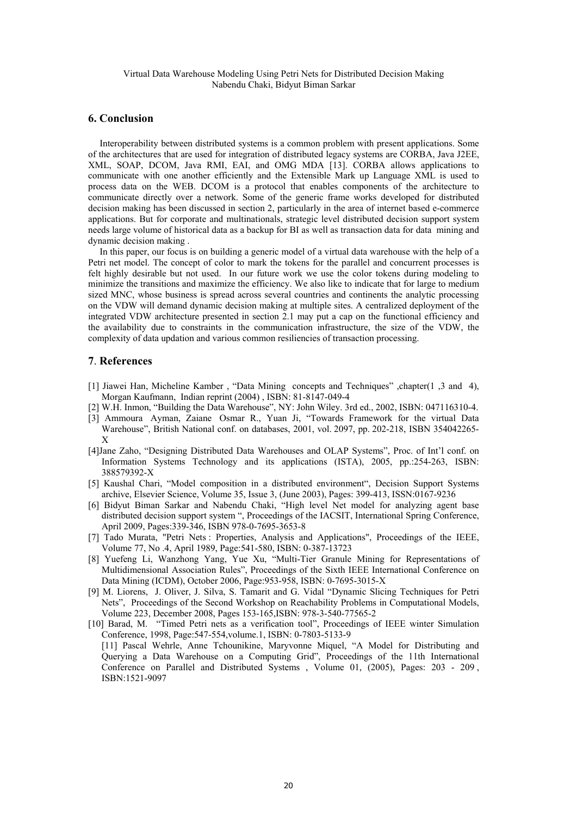## **6. Conclusion**

Interoperability between distributed systems is a common problem with present applications. Some of the architectures that are used for integration of distributed legacy systems are CORBA, Java J2EE, XML, SOAP, DCOM, Java RMI, EAI, and OMG MDA [13]. CORBA allows applications to communicate with one another efficiently and the Extensible Mark up Language XML is used to process data on the WEB. DCOM is a protocol that enables components of the architecture to communicate directly over a network. Some of the generic frame works developed for distributed decision making has been discussed in section 2, particularly in the area of internet based e-commerce applications. But for corporate and multinationals, strategic level distributed decision support system needs large volume of historical data as a backup for BI as well as transaction data for data mining and dynamic decision making .

In this paper, our focus is on building a generic model of a virtual data warehouse with the help of a Petri net model. The concept of color to mark the tokens for the parallel and concurrent processes is felt highly desirable but not used. In our future work we use the color tokens during modeling to minimize the transitions and maximize the efficiency. We also like to indicate that for large to medium sized MNC, whose business is spread across several countries and continents the analytic processing on the VDW will demand dynamic decision making at multiple sites. A centralized deployment of the integrated VDW architecture presented in section 2.1 may put a cap on the functional efficiency and the availability due to constraints in the communication infrastructure, the size of the VDW, the complexity of data updation and various common resiliencies of transaction processing.

#### **7**. **References**

- [1] Jiawei Han, Micheline Kamber , "Data Mining concepts and Techniques" ,chapter(1 ,3 and 4), Morgan Kaufmann, Indian reprint (2004) , ISBN: 81-8147-049-4
- [2] W.H. Inmon, "Building the Data Warehouse", NY: John Wiley. 3rd ed., 2002, ISBN: 047116310-4.
- [3] Ammoura Ayman, Zaiane Osmar R., Yuan Ji, "Towards Framework for the virtual Data Warehouse", British National conf. on databases, 2001, vol. 2097, pp. 202-218, ISBN 354042265- X
- [4]Jane Zaho, "Designing Distributed Data Warehouses and OLAP Systems", Proc. of Int'l conf. on Information Systems Technology and its applications (ISTA), 2005, pp.:254-263, ISBN: 388579392-X
- [5] Kaushal Chari, "Model composition in a distributed environment", Decision Support Systems archive, Elsevier Science, Volume 35, Issue 3, (June 2003), Pages: 399-413, ISSN:0167-9236
- [6] Bidyut Biman Sarkar and Nabendu Chaki, "High level Net model for analyzing agent base distributed decision support system ", Proceedings of the IACSIT, International Spring Conference, April 2009, Pages:339-346, ISBN 978-0-7695-3653-8
- [7] Tado Murata, "Petri Nets : Properties, Analysis and Applications", Proceedings of the IEEE, Volume 77, No .4, April 1989, Page:541-580, ISBN: 0-387-13723
- [8] Yuefeng Li, Wanzhong Yang, Yue Xu, "Multi-Tier Granule Mining for Representations of Multidimensional Association Rules", Proceedings of the Sixth IEEE International Conference on Data Mining (ICDM), October 2006, Page:953-958, ISBN: 0-7695-3015-X
- [9] M. Liorens, J. Oliver, J. Silva, S. Tamarit and G. Vidal "Dynamic Slicing Techniques for Petri Nets", Proceedings of the Second Workshop on Reachability Problems in Computational Models, Volume 223, December 2008, Pages 153-165,ISBN: 978-3-540-77565-2
- [10] Barad, M. "Timed Petri nets as a verification tool", Proceedings of IEEE winter Simulation Conference, 1998, Page:547-554,volume.1, ISBN: 0-7803-5133-9 [11] Pascal Wehrle, Anne Tchounikine, Maryvonne Miquel, "A Model for Distributing and Querying a Data Warehouse on a Computing Grid", Proceedings of the 11th International Conference on Parallel and Distributed Systems , Volume 01, (2005), Pages: 203 - 209 , ISBN:1521-9097